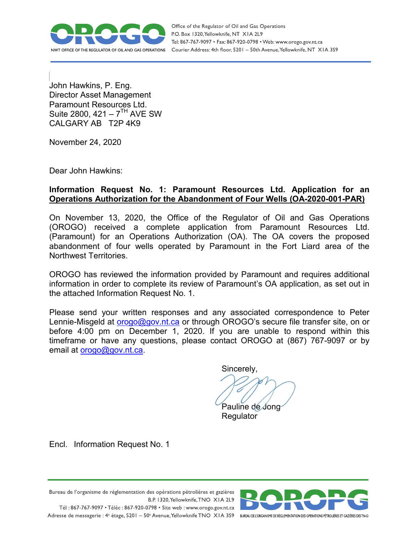

Office of the Regulator of Oil and Gas Operations P.O. Box 1320, Yellowknife, NT XIA 2L9 Tel: 867-767-9097 • Fax: 867-920-0798 • Web: www.orogo.gov.nt.ca Courier Address: 4th floor, 5201 - 50th Avenue, Yellowknife, NT XIA 3S9

John Hawkins, P. Eng. Director Asset Management Paramount Resources Ltd. Suite 2800,  $421 - 7<sup>TH</sup>$  AVE SW CALGARY AB T2P 4K9

November 24, 2020

Dear John Hawkins:

# **Information Request No. 1: Paramount Resources Ltd. Application for an Operations Authorization for the Abandonment of Four Wells (OA-2020-001-PAR)**

On November 13, 2020, the Office of the Regulator of Oil and Gas Operations (OROGO) received a complete application from Paramount Resources Ltd. (Paramount) for an Operations Authorization (OA). The OA covers the proposed abandonment of four wells operated by Paramount in the Fort Liard area of the Northwest Territories.

OROGO has reviewed the information provided by Paramount and requires additional information in order to complete its review of Paramount's OA application, as set out in the attached Information Request No. 1.

Please send your written responses and any associated correspondence to Peter Lennie-Misgeld at **orogo@gov.nt.ca** or through OROGO's secure file transfer site, on or before 4:00 pm on December 1, 2020. If you are unable to respond within this timeframe or have any questions, please contact OROGO at (867) 767-9097 or by email at [orogo@gov.nt.ca.](mailto:orogo@gov.nt.ca)

Sincerely,

Pauline de Jong

Regulator

Encl. Information Request No. 1



Bureau de l'organisme de réglementation des opérations pétrolières et gazières B.P. 1320, Yellowknife, TNO XIA 2L9 Tél: 867-767-9097 • Téléc: 867-920-0798 • Site web: www.orogo.gov.nt.ca Adresse de messagerie : 4<sup>e</sup> étage, 5201 - 50° Avenue, Yellowknife TNO XIA 3S9 BUREAU DEL'ORGANISME DE RÉGLEMENTATION DES OPERATIONS PÉTROLIÈRES ET GAZIÈRES DESTNO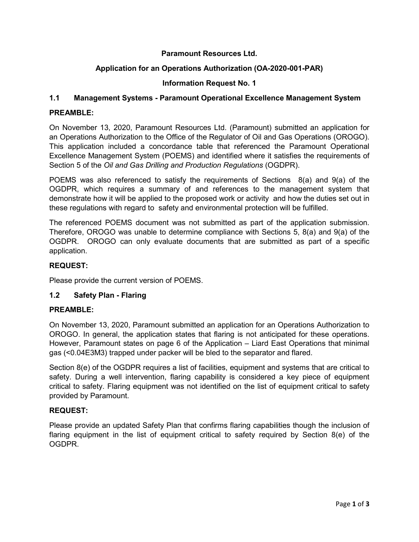## **Paramount Resources Ltd.**

## **Application for an Operations Authorization (OA-2020-001-PAR)**

## **Information Request No. 1**

## **1.1 Management Systems - Paramount Operational Excellence Management System**

### **PREAMBLE:**

On November 13, 2020, Paramount Resources Ltd. (Paramount) submitted an application for an Operations Authorization to the Office of the Regulator of Oil and Gas Operations (OROGO). This application included a concordance table that referenced the Paramount Operational Excellence Management System (POEMS) and identified where it satisfies the requirements of Section 5 of the *Oil and Gas Drilling and Production Regulations* (OGDPR).

POEMS was also referenced to satisfy the requirements of Sections 8(a) and 9(a) of the OGDPR, which requires a summary of and references to the management system that demonstrate how it will be applied to the proposed work or activity and how the duties set out in these regulations with regard to safety and environmental protection will be fulfilled.

The referenced POEMS document was not submitted as part of the application submission. Therefore, OROGO was unable to determine compliance with Sections 5, 8(a) and 9(a) of the OGDPR. OROGO can only evaluate documents that are submitted as part of a specific application.

### **REQUEST:**

Please provide the current version of POEMS.

## **1.2 Safety Plan - Flaring**

#### **PREAMBLE:**

On November 13, 2020, Paramount submitted an application for an Operations Authorization to OROGO. In general, the application states that flaring is not anticipated for these operations. However, Paramount states on page 6 of the Application – Liard East Operations that minimal gas (<0.04E3M3) trapped under packer will be bled to the separator and flared.

Section 8(e) of the OGDPR requires a list of facilities, equipment and systems that are critical to safety. During a well intervention, flaring capability is considered a key piece of equipment critical to safety. Flaring equipment was not identified on the list of equipment critical to safety provided by Paramount.

## **REQUEST:**

Please provide an updated Safety Plan that confirms flaring capabilities though the inclusion of flaring equipment in the list of equipment critical to safety required by Section 8(e) of the OGDPR.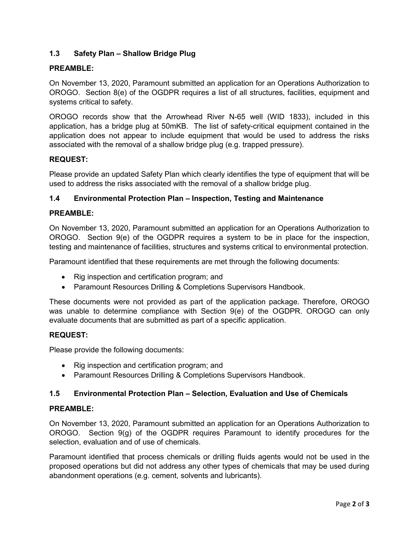# **1.3 Safety Plan – Shallow Bridge Plug**

### **PREAMBLE:**

On November 13, 2020, Paramount submitted an application for an Operations Authorization to OROGO. Section 8(e) of the OGDPR requires a list of all structures, facilities, equipment and systems critical to safety.

OROGO records show that the Arrowhead River N-65 well (WID 1833), included in this application, has a bridge plug at 50mKB. The list of safety-critical equipment contained in the application does not appear to include equipment that would be used to address the risks associated with the removal of a shallow bridge plug (e.g. trapped pressure).

#### **REQUEST:**

Please provide an updated Safety Plan which clearly identifies the type of equipment that will be used to address the risks associated with the removal of a shallow bridge plug.

### **1.4 Environmental Protection Plan – Inspection, Testing and Maintenance**

#### **PREAMBLE:**

On November 13, 2020, Paramount submitted an application for an Operations Authorization to OROGO. Section 9(e) of the OGDPR requires a system to be in place for the inspection, testing and maintenance of facilities, structures and systems critical to environmental protection.

Paramount identified that these requirements are met through the following documents:

- Rig inspection and certification program; and
- Paramount Resources Drilling & Completions Supervisors Handbook.

These documents were not provided as part of the application package. Therefore, OROGO was unable to determine compliance with Section 9(e) of the OGDPR. OROGO can only evaluate documents that are submitted as part of a specific application.

#### **REQUEST:**

Please provide the following documents:

- Rig inspection and certification program; and
- Paramount Resources Drilling & Completions Supervisors Handbook.

## **1.5 Environmental Protection Plan – Selection, Evaluation and Use of Chemicals**

#### **PREAMBLE:**

On November 13, 2020, Paramount submitted an application for an Operations Authorization to OROGO. Section 9(g) of the OGDPR requires Paramount to identify procedures for the selection, evaluation and of use of chemicals.

Paramount identified that process chemicals or drilling fluids agents would not be used in the proposed operations but did not address any other types of chemicals that may be used during abandonment operations (e.g. cement, solvents and lubricants).